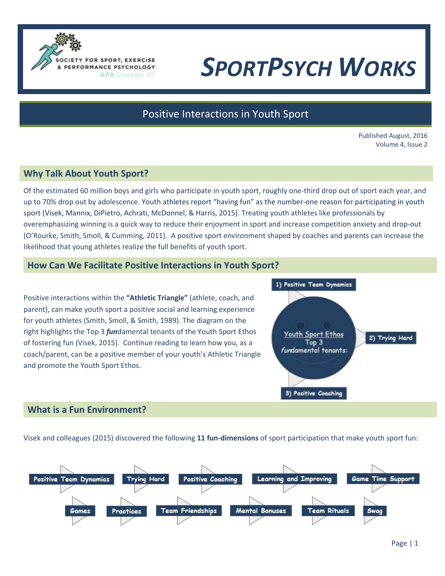

# *SPORTPSYCH WORKS*

# Positive Interactions in Youth Sport

Published August, 2016 Volume 4, Issue 2

#### **Why Talk About Youth Sport?**

Of the estimated 60 million boys and girls who participate in youth sport, roughly one-third drop out of sport each year, and up to 70% drop out by adolescence. Youth athletes report "having fun" as the number-one reason for participating in youth sport (Visek, Mannix, DiPietro, Achrati, McDonnel, & Harris, 2015). Treating youth athletes like professionals by overemphasizing winning is a quick way to reduce their enjoyment in sport and increase competition anxiety and drop-out (O'Rourke, Smith, Smoll, & Cumming, 2011). A positive sport environment shaped by coaches and parents can increase the likelihood that young athletes realize the full benefits of youth sport.

#### **How Can We Facilitate Positive Interactions in Youth Sport?**

Positive interactions within the **"Athletic Triangle"** (athlete, coach, and parent), can make youth sport a positive social and learning experience for youth athletes (Smith, Smoll, & Smith, 1989). The diagram on the right highlights the Top 3 *fun*damental tenants of the Youth Sport Ethos of fostering fun (Visek, 2015). Continue reading to learn how you, as a coach/parent, can be a positive member of your youth's Athletic Triangle and promote the Youth Sport Ethos.



#### **What is a Fun Environment?**

Visek and colleagues (2015) discovered the following **11 fun-dimensions** of sport participation that make youth sport fun: